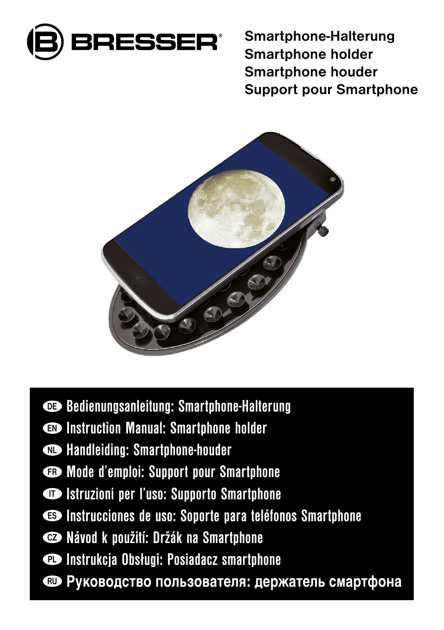

Smartphone-Halterung Smartphone holder Smartphone houder Support pour Smartphone



- DE Bedienungsanleitung: Smartphone-Halterung
- EN Instruction Manual: Smartphone holder
- $\bullet$  Handleiding: Smartphone-houder
- FR Mode d'emploi: Support pour Smartphone
- IT Istruzioni per l'uso: Supporto Smartphone
- ES Instrucciones de uso: Soporte para teléfonos Smartphone
- CZ Návod k použití: Držák na Smartphone
- **PL** Instrukcja Obsługi: Posiadacz smartphone
- RU Руководство пользователя: держатель смартфона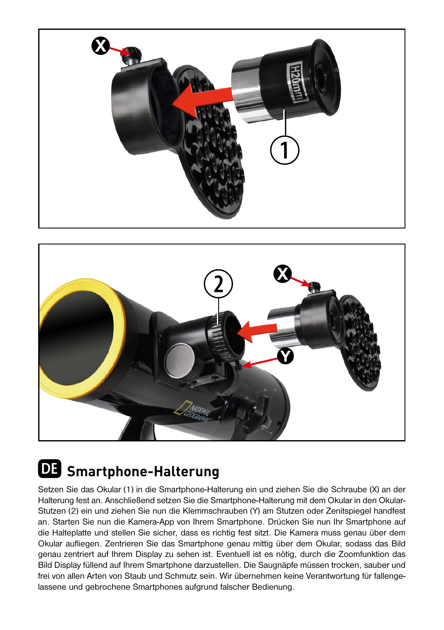



# **DE Smartphone-Halterung**

Setzen Sie das Okular (1) in die Smartphone-Halterung ein und ziehen Sie die Schraube (X) an der Halterung fest an. Anschließend setzen Sie die Smartphone-Halterung mit dem Okular in den Okular-Stutzen (2) ein und ziehen Sie nun die Klemmschrauben (Y) am Stutzen oder Zenitspiegel handfest an. Starten Sie nun die Kamera-App von Ihrem Smartphone. Drücken Sie nun Ihr Smartphone auf die Halteplatte und stellen Sie sicher, dass es richtig fest sitzt. Die Kamera muss genau über dem Okular aufliegen. Zentrieren Sie das Smartphone genau mittig über dem Okular, sodass das Bild genau zentriert auf Ihrem Display zu sehen ist. Eventuell ist es nötig, durch die Zoomfunktion das Bild Display füllend auf Ihrem Smartphone darzustellen. Die Saugnäpfe müssen trocken, sauber und frei von allen Arten von Staub und Schmutz sein. Wir übernehmen keine Verantwortung für fallengelassene und gebrochene Smartphones aufgrund falscher Bedienung.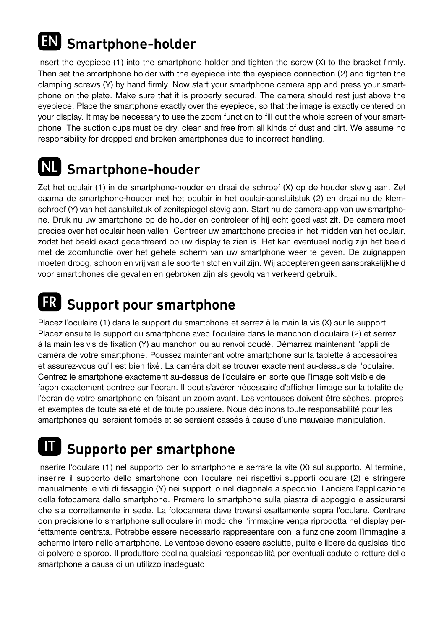## **EN Smartphone-holder**

Insert the eyepiece (1) into the smartphone holder and tighten the screw (X) to the bracket firmly. Then set the smartphone holder with the eyepiece into the eyepiece connection (2) and tighten the clamping screws (Y) by hand firmly. Now start your smartphone camera app and press your smartphone on the plate. Make sure that it is properly secured. The camera should rest just above the eyepiece. Place the smartphone exactly over the eyepiece, so that the image is exactly centered on your display. It may be necessary to use the zoom function to fill out the whole screen of your smartphone. The suction cups must be dry, clean and free from all kinds of dust and dirt. We assume no responsibility for dropped and broken smartphones due to incorrect handling.

#### **NL Smartphone-houder**

Zet het oculair (1) in de smartphone-houder en draai de schroef (X) op de houder stevig aan. Zet daarna de smartphone-houder met het oculair in het oculair-aansluitstuk (2) en draai nu de klemschroef (Y) van het aansluitstuk of zenitspiegel stevig aan. Start nu de camera-app van uw smartphone. Druk nu uw smartphone op de houder en controleer of hij echt goed vast zit. De camera moet precies over het oculair heen vallen. Centreer uw smartphone precies in het midden van het oculair, zodat het beeld exact gecentreerd op uw display te zien is. Het kan eventueel nodig zijn het beeld met de zoomfunctie over het gehele scherm van uw smartphone weer te geven. De zuignappen moeten droog, schoon en vrij van alle soorten stof en vuil zijn. Wij accepteren geen aansprakelijkheid voor smartphones die gevallen en gebroken zijn als gevolg van verkeerd gebruik.

#### **FR Support pour smartphone**

Placez l'oculaire (1) dans le support du smartphone et serrez à la main la vis (X) sur le support. Placez ensuite le support du smartphone avec l'oculaire dans le manchon d'oculaire (2) et serrez à la main les vis de fixation (Y) au manchon ou au renvoi coudé. Démarrez maintenant l'appli de caméra de votre smartphone. Poussez maintenant votre smartphone sur la tablette à accessoires et assurez-vous qu'il est bien fixé. La caméra doit se trouver exactement au-dessus de l'oculaire. Centrez le smartphone exactement au-dessus de l'oculaire en sorte que l'image soit visible de façon exactement centrée sur l'écran. Il peut s'avérer nécessaire d'afficher l'image sur la totalité de l'écran de votre smartphone en faisant un zoom avant. Les ventouses doivent être sèches, propres et exemptes de toute saleté et de toute poussière. Nous déclinons toute responsabilité pour les smartphones qui seraient tombés et se seraient cassés à cause d'une mauvaise manipulation.

## **IT Supporto per smartphone**

Inserire l'oculare (1) nel supporto per lo smartphone e serrare la vite (X) sul supporto. Al termine, inserire il supporto dello smartphone con l'oculare nei rispettivi supporti oculare (2) e stringere manualmente le viti di fissaggio (Y) nei supporti o nel diagonale a specchio. Lanciare l'applicazione della fotocamera dallo smartphone. Premere lo smartphone sulla piastra di appoggio e assicurarsi che sia correttamente in sede. La fotocamera deve trovarsi esattamente sopra l'oculare. Centrare con precisione lo smartphone sull'oculare in modo che l'immagine venga riprodotta nel display perfettamente centrata. Potrebbe essere necessario rappresentare con la funzione zoom l'immagine a schermo intero nello smartphone. Le ventose devono essere asciutte, pulite e libere da qualsiasi tipo di polvere e sporco. Il produttore declina qualsiasi responsabilità per eventuali cadute o rotture dello smartphone a causa di un utilizzo inadeguato.